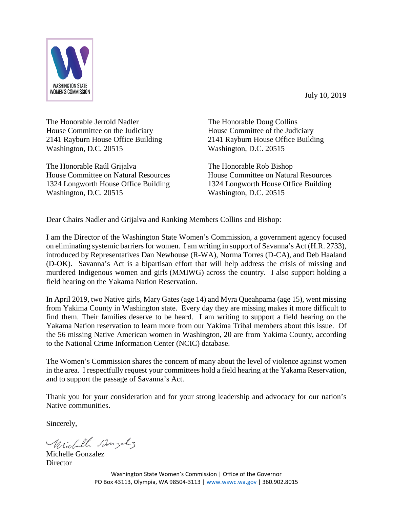July 10, 2019



The Honorable Jerrold Nadler House Committee on the Judiciary 2141 Rayburn House Office Building Washington, D.C. 20515

The Honorable Raúl Grijalva House Committee on Natural Resources 1324 Longworth House Office Building Washington, D.C. 20515

The Honorable Doug Collins House Committee of the Judiciary 2141 Rayburn House Office Building Washington, D.C. 20515

The Honorable Rob Bishop House Committee on Natural Resources 1324 Longworth House Office Building Washington, D.C. 20515

Dear Chairs Nadler and Grijalva and Ranking Members Collins and Bishop:

I am the Director of the Washington State Women's Commission, a government agency focused on eliminating systemic barriers for women. I am writing in support of Savanna's Act (H.R. 2733), introduced by Representatives Dan Newhouse (R-WA), Norma Torres (D-CA), and Deb Haaland (D-OK). Savanna's Act is a bipartisan effort that will help address the crisis of missing and murdered Indigenous women and girls (MMIWG) across the country. I also support holding a field hearing on the Yakama Nation Reservation.

In April 2019, two Native girls, Mary Gates (age 14) and Myra Queahpama (age 15), went missing from Yakima County in Washington state. Every day they are missing makes it more difficult to find them. Their families deserve to be heard. I am writing to support a field hearing on the Yakama Nation reservation to learn more from our Yakima Tribal members about this issue. Of the 56 missing Native American women in Washington, 20 are from Yakima County, according to the National Crime Information Center (NCIC) database.

The Women's Commission shares the concern of many about the level of violence against women in the area. I respectfully request your committees hold a field hearing at the Yakama Reservation, and to support the passage of Savanna's Act.

Thank you for your consideration and for your strong leadership and advocacy for our nation's Native communities.

Sincerely,

Michell Bonzolz

Michelle Gonzalez **Director**